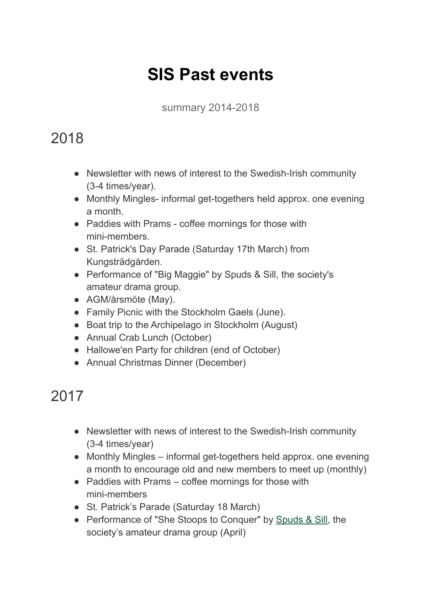# **SIS Past events**

summary 2014-2018

### 2018

- Newsletter with news of interest to the Swedish-Irish community (3-4 times/year).
- Monthly Mingles- informal get-togethers held approx. one evening a month.
- Paddies with Prams coffee mornings for those with mini-members.
- St. Patrick's Day Parade (Saturday 17th March) from Kungsträdgården.
- Performance of "Big Maggie" by Spuds & Sill, the society's amateur drama group.
- AGM/årsmöte (May).
- Family Picnic with the Stockholm Gaels (June).
- Boat trip to the Archipelago in Stockholm (August)
- Annual Crab Lunch (October)
- Hallowe'en Party for children (end of October)
- Annual Christmas Dinner (December)

## 2017

- Newsletter with news of interest to the Swedish-Irish community (3-4 times/year)
- Monthly Mingles informal get-togethers held approx. one evening a month to encourage old and new members to meet up (monthly)
- Paddies with Prams coffee mornings for those with mini-members
- St. Patrick's Parade (Saturday 18 March)
- Performance of "She Stoops to Conquer" by [Spuds &](http://www.spudsandsill.com/) Sill, the society's amateur drama group (April)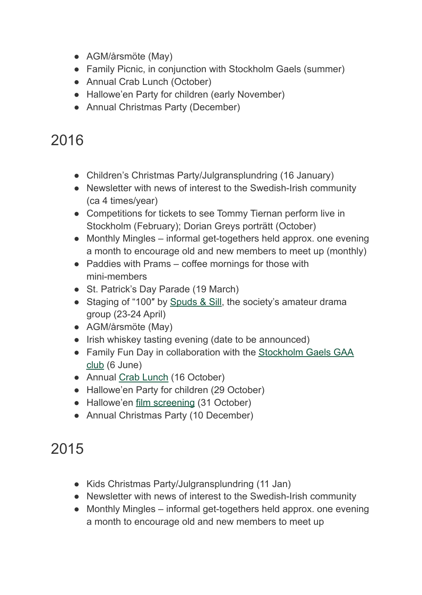- AGM/årsmöte (May)
- Family Picnic, in conjunction with Stockholm Gaels (summer)
- Annual Crab Lunch (October)
- Hallowe'en Party for children (early November)
- Annual Christmas Party (December)

### 2016

- Children's Christmas Party/Julgransplundring (16 January)
- Newsletter with news of interest to the Swedish-Irish community (ca 4 times/year)
- Competitions for tickets to see Tommy Tiernan perform live in Stockholm (February); Dorian Greys porträtt (October)
- Monthly Mingles informal get-togethers held approx. one evening a month to encourage old and new members to meet up (monthly)
- Paddies with Prams coffee mornings for those with mini-members
- St. Patrick's Day Parade (19 March)
- Staging of "100" by [Spuds & Sill](http://www.spudsandsill.com/), the society's amateur drama group (23-24 April)
- AGM/årsmöte (May)
- Irish whiskey tasting evening (date to be announced)
- Family Fun Day in collaboration with the Stockholm [Gaels GAA](http://stockholmgaels.com/) [club](http://stockholmgaels.com/) (6 June)
- Annual [Crab Lunch](https://www.swedishirish.com/event/2016-crab-lunch/) (16 October)
- Hallowe'en Party for children (29 October)
- Hallowe'en [film screening](https://www.swedishirish.com/event/halloween-film-screening/) (31 October)
- Annual Christmas Party (10 December)

## 2015

- Kids Christmas Party/Julgransplundring (11 Jan)
- Newsletter with news of interest to the Swedish-Irish community
- Monthly Mingles informal get-togethers held approx. one evening a month to encourage old and new members to meet up